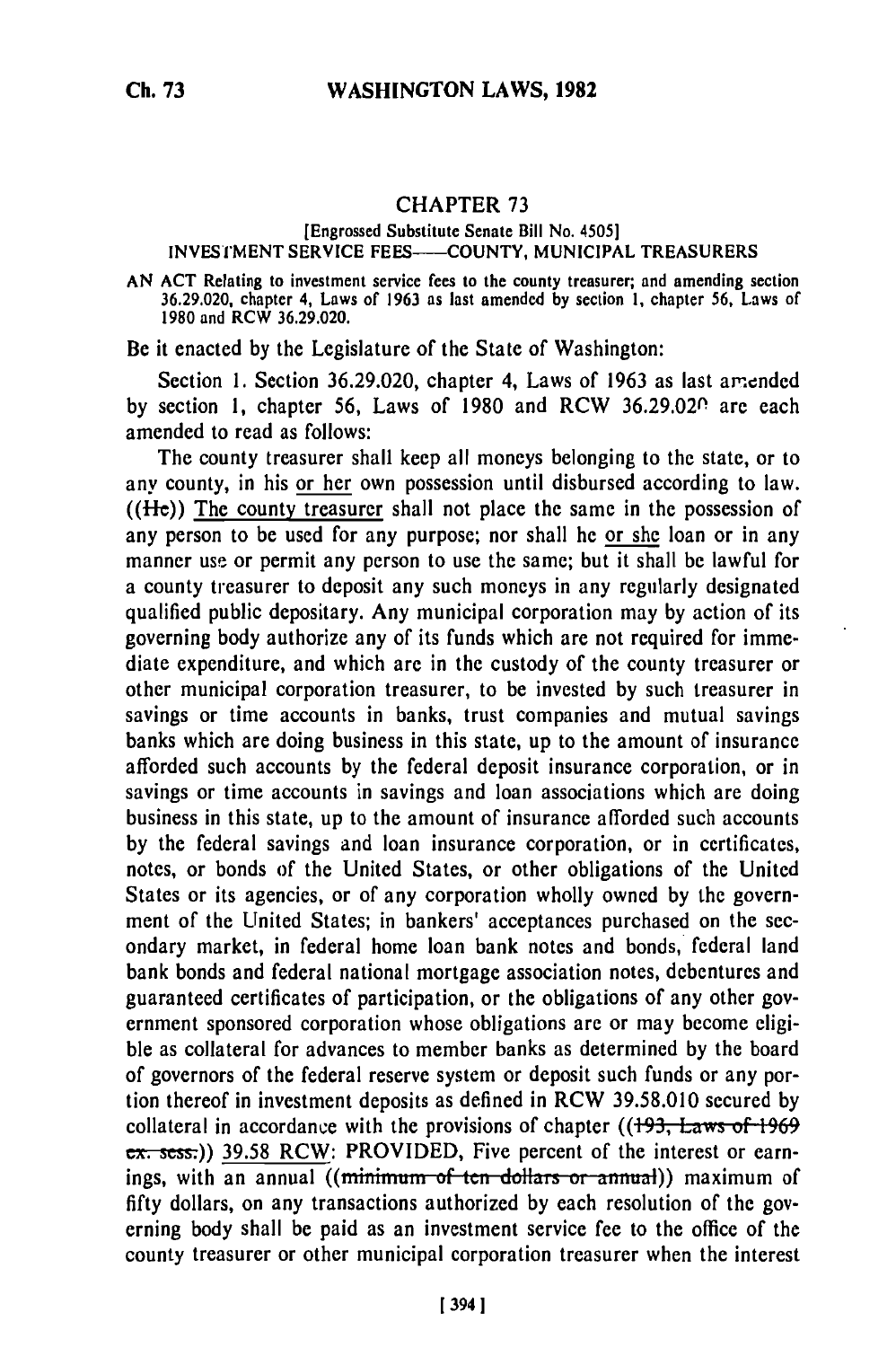## CHAPTER **73**

## [Engrossed Substitute Senate Bill No. 4505] **INVESTMENT SERVICE FEES---- COUNTY, MUNICIPAL TREASURERS**

**AN ACT** Relating to investment service fees to the county treasurer; and amending section **36.29.020,** chapter 4, **Laws of 1963** as last amended **by** section **1,** chapter **56,** Laws of **1980** and **RCW 36.29.020.**

Be it enacted **by** the Legislature of the State of Washington:

Section 1. Section 36.29.020, chapter 4, Laws of 1963 as last amended **by** section **1,** chapter **56,** Laws of 1980 and RCW 36.29.020 are each amended to read as follows:

The county treasurer shall keep all moneys belonging to the state, or to any county, in his or her own possession until disbursed according to law.  $((He))$  The county treasurer shall not place the same in the possession of any person to be used for any purpose; nor shall he or she loan or in any manner use or permit any person to use the same; but it shall be lawful for a county treasurer to deposit any such moneys in any regularly designated qualified public depositary. Any municipal corporation may by action of its governing body authorize any of its funds which are not required for immediate expenditure, and which are in the custody of the county treasurer or other municipal corporation treasurer, to be invested by such treasurer in savings or time accounts in banks, trust companies and mutual savings banks which are doing business in this state, up to the amount of insurance afforded such accounts by the federal deposit insurance corporation, or in savings or time accounts in savings and loan associations which are doing business in this state, up to the amount of insurance afforded such accounts **by** the federal savings and loan insurance corporation, or in certificates, notes, or bonds of the United States, or other obligations of the United States or its agencies, or of any corporation wholly owned by the government of the United States; in bankers' acceptances purchased on the secondary market, in federal home loan bank notes and bonds, federal land bank bonds and federal national mortgage association notes, debentures and guaranteed certificates of participation, or the obligations of any other government sponsored corporation whose obligations are or may become eligible as collateral for advances to member banks as determined by the board of governors of the federal reserve system or deposit such funds or any portion thereof in investment deposits as defined in RCW 39.58.010 secured by collateral in accordance with the provisions of chapter ((193, Laws of 1969) ex. sess.)) 39.58 RCW: PROVIDED, Five percent of the interest or earnings, with an annual ((minimum of ten dollars or annual)) maximum of fifty dollars, on any transactions authorized by each resolution of the governing body shall be paid as an investment service fee to the office of the county treasurer or other municipal corporation treasurer when the interest